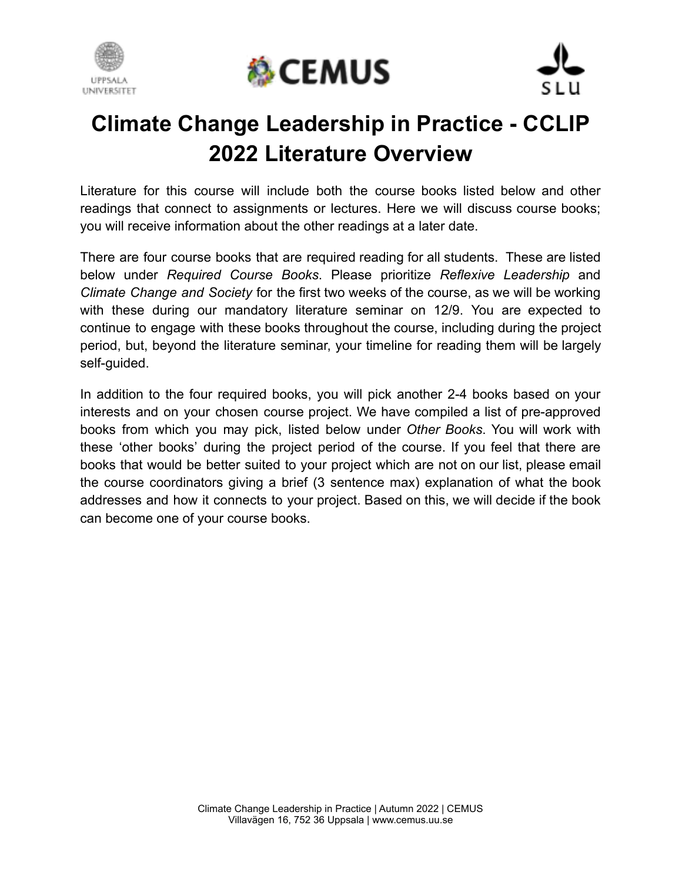





# **Climate Change Leadership in Practice - CCLIP 2022 Literature Overview**

Literature for this course will include both the course books listed below and other readings that connect to assignments or lectures. Here we will discuss course books; you will receive information about the other readings at a later date.

There are four course books that are required reading for all students. These are listed below under *Required Course Books*. Please prioritize *Reflexive Leadership* and *Climate Change and Society* for the first two weeks of the course, as we will be working with these during our mandatory literature seminar on 12/9. You are expected to continue to engage with these books throughout the course, including during the project period, but, beyond the literature seminar, your timeline for reading them will be largely self-guided.

In addition to the four required books, you will pick another 2-4 books based on your interests and on your chosen course project. We have compiled a list of pre-approved books from which you may pick, listed below under *Other Books*. You will work with these 'other books' during the project period of the course. If you feel that there are books that would be better suited to your project which are not on our list, please email the course coordinators giving a brief (3 sentence max) explanation of what the book addresses and how it connects to your project. Based on this, we will decide if the book can become one of your course books.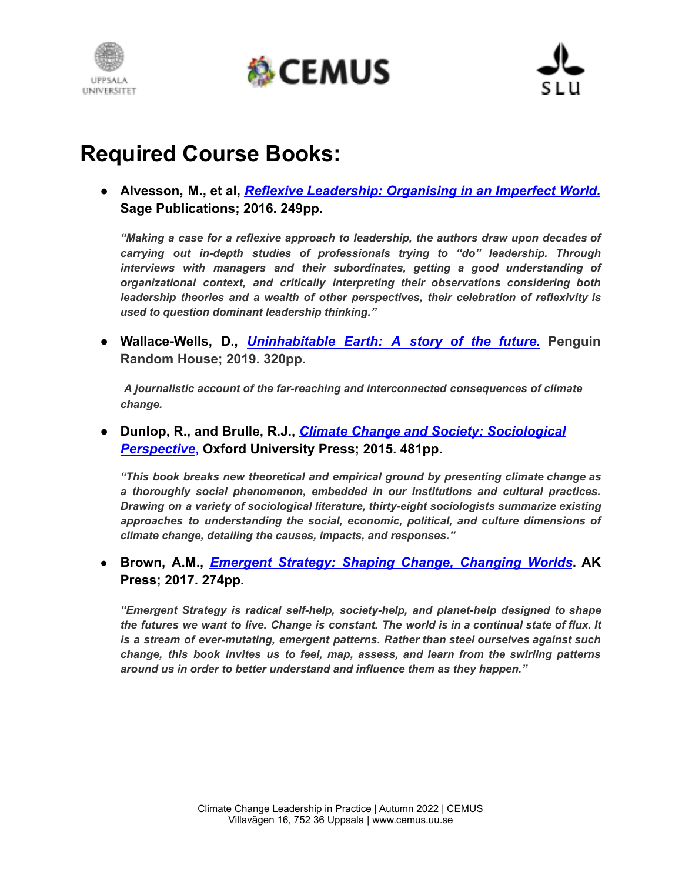





## **Required Course Books:**

**● Alvesson, M., et al,** *Reflexive Leadership: Organising in an Imperfect World.* **Sage Publications; 2016. 249pp.**

*"Making a case for a reflexive approach to leadership, the authors draw upon decades of carrying out in-depth studies of professionals trying to "do" leadership. Through interviews with managers and their subordinates, getting a good understanding of organizational context, and critically interpreting their observations considering both leadership theories and a wealth of other perspectives, their celebration of reflexivity is used to question dominant leadership thinking."*

**● Wallace-Wells, D.,** *Uninhabitable Earth: A story of the future.* **Penguin Random House; 2019. 320pp.**

*A journalistic account of the far-reaching and interconnected consequences of climate change.*

**● Dunlop, R., and Brulle, R.J.,** *Climate Change and Society: Sociological Perspective***, Oxford University Press; 2015. 481pp.**

*"This book breaks new theoretical and empirical ground by presenting climate change as a thoroughly social phenomenon, embedded in our institutions and cultural practices. Drawing on a variety of sociological literature, thirty-eight sociologists summarize existing approaches to understanding the social, economic, political, and culture dimensions of climate change, detailing the causes, impacts, and responses."*

**● Brown, A.M.,** *Emergent Strategy: Shaping Change, Changing Worlds***. AK Press; 2017. 274pp.**

*"Emergent Strategy is radical self-help, society-help, and planet-help designed to shape* the futures we want to live. Change is constant. The world is in a continual state of flux. It *is a stream of ever-mutating, emergent patterns. Rather than steel ourselves against such change, this book invites us to feel, map, assess, and learn from the swirling patterns around us in order to better understand and influence them as they happen."*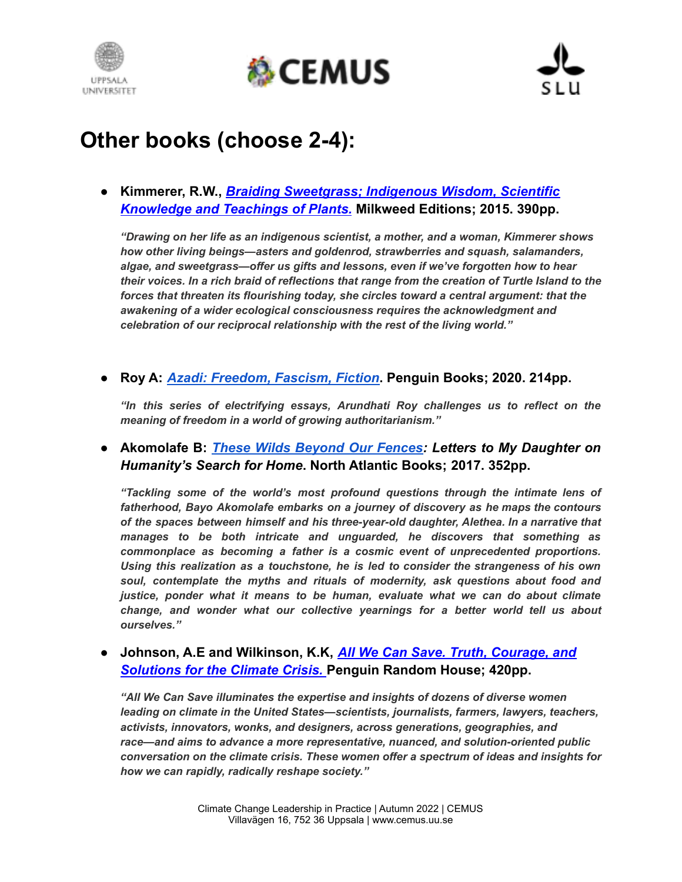





# **Other books (choose 2-4):**

**● Kimmerer, R.W.,** *Braiding Sweetgrass; Indigenous Wisdom, Scientific Knowledge and Teachings of Plants.* **Milkweed Editions; 2015. 390pp.**

*"Drawing on her life as an indigenous scientist, a mother, and a woman, Kimmerer shows how other living beings—asters and goldenrod, strawberries and squash, salamanders, algae, and sweetgrass—offer us gifts and lessons, even if we've forgotten how to hear their voices. In a rich braid of reflections that range from the creation of Turtle Island to the forces that threaten its flourishing today, she circles toward a central argument: that the awakening of a wider ecological consciousness requires the acknowledgment and celebration of our reciprocal relationship with the rest of the living world."*

#### **● Roy A:** *[Azadi: Freedom, Fascism, Fiction](https://www.penguin.co.uk/books/320/320099/azadi/9780241470022.html)***. Penguin Books; 2020. 214pp.**

*"In this series of electrifying essays, Arundhati Roy challenges us to reflect on the meaning of freedom in a world of growing authoritarianism."*

### **● Akomolafe B:** *These Wilds [Beyond](https://bayoakomolafe.net/books/) Our Fences: Letters to My Daughter on Humanity's Search for Home***. North Atlantic Books; 2017. 352pp.**

*"Tackling some of the world's most profound questions through the intimate lens of fatherhood, Bayo Akomolafe embarks on a journey of discovery as he maps the contours of the spaces between himself and his three-year-old daughter, Alethea. In a narrative that manages to be both intricate and unguarded, he discovers that something as commonplace as becoming a father is a cosmic event of unprecedented proportions. Using this realization as a touchstone, he is led to consider the strangeness of his own soul, contemplate the myths and rituals of modernity, ask questions about food and justice, ponder what it means to be human, evaluate what we can do about climate change, and wonder what our collective yearnings for a better world tell us about ourselves."*

#### **● Johnson, A.E and Wilkinson, K.K,** *All We Can Save. Truth, Courage, and Solutions for the Climate Crisis.* **Penguin Random House; 420pp.**

*"All We Can Save illuminates the expertise and insights of dozens of diverse women leading on climate in the United States—scientists, journalists, farmers, lawyers, teachers, activists, innovators, wonks, and designers, across generations, geographies, and race—and aims to advance a more representative, nuanced, and solution-oriented public conversation on the climate crisis. These women offer a spectrum of ideas and insights for how we can rapidly, radically reshape society."*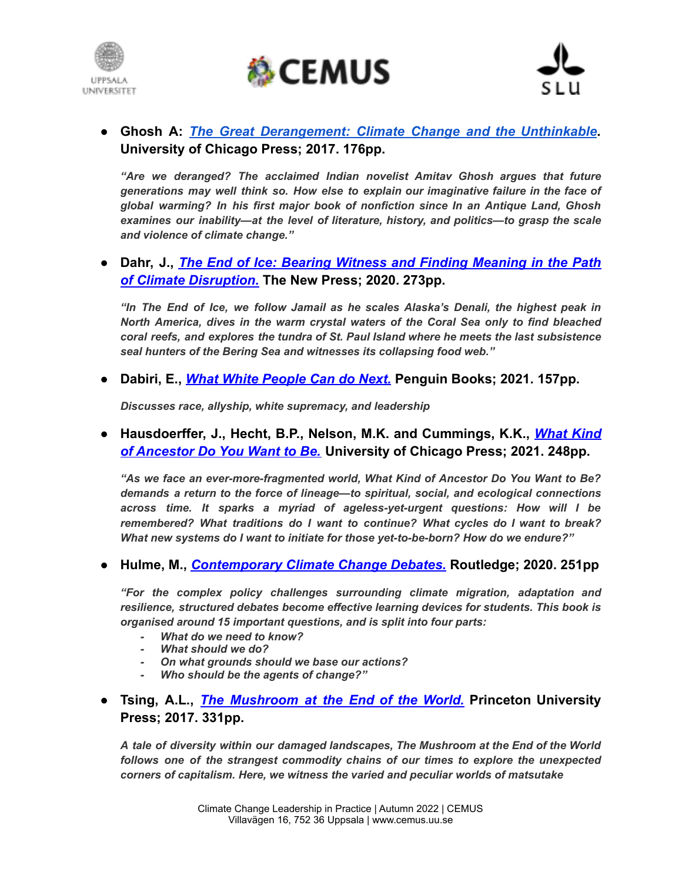





● **Ghosh A:** *The Great [Derangement:](https://press.uchicago.edu/ucp/books/book/chicago/G/bo22265507.html) Climate Change and the Unthinkable***. University of Chicago Press; 2017. 176pp.**

*"Are we deranged? The acclaimed Indian novelist Amitav Ghosh argues that future generations may well think so. How else to explain our imaginative failure in the face of global warming? In his first major book of nonfiction since In an Antique Land, Ghosh examines our inability—at the level of literature, history, and politics—to grasp the scale and violence of climate change."*

● **Dahr, J.,** *The End of Ice: Bearing Witness and Finding Meaning in the Path of Climate Disruption.* **The New Press; 2020. 273pp.**

*"In The End of Ice, we follow Jamail as he scales Alaska's Denali, the highest peak in North America, dives in the warm crystal waters of the Coral Sea only to find bleached coral reefs, and explores the tundra of St. Paul Island where he meets the last subsistence seal hunters of the Bering Sea and witnesses its collapsing food web."*

**● Dabiri, E.,** *What White People Can do Next.* **Penguin Books; 2021. 157pp.**

*Discusses race, allyship, white supremacy, and leadership*

**● Hausdoerffer, J., Hecht, B.P., Nelson, M.K. and Cummings, K.K.,** *What Kind of Ancestor Do You Want to Be.* **University of Chicago Press; 2021. 248pp.**

*"As we face an ever-more-fragmented world, What Kind of Ancestor Do You Want to Be? demands a return to the force of lineage—to spiritual, social, and ecological connections across time. It sparks a myriad of ageless-yet-urgent questions: How will I be remembered? What traditions do I want to continue? What cycles do I want to break? What new systems do I want to initiate for those yet-to-be-born? How do we endure?"*

**● Hulme, M.,** *Contemporary Climate Change Debates.* **Routledge; 2020. 251pp**

*"For the complex policy challenges surrounding climate migration, adaptation and resilience, structured debates become effective learning devices for students. This book is organised around 15 important questions, and is split into four parts:*

- *- What do we need to know?*
- *- What should we do?*
- *- On what grounds should we base our actions?*
- *- Who should be the agents of change?"*
- **● Tsing, A.L.,** *The Mushroom at the End of the World.* **Princeton University Press; 2017. 331pp.**

*A tale of diversity within our damaged landscapes, The Mushroom at the End of the World follows one of the strangest commodity chains of our times to explore the unexpected corners of capitalism. Here, we witness the varied and peculiar worlds of matsutake*